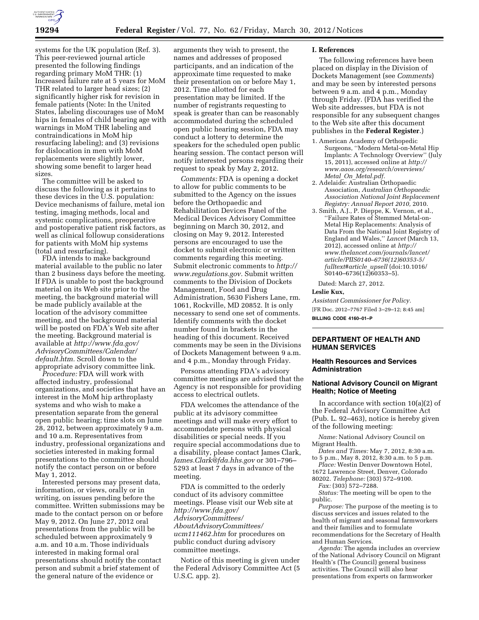

systems for the UK population (Ref. 3). This peer-reviewed journal article presented the following findings regarding primary MoM THR: (1) Increased failure rate at 5 years for MoM THR related to larger head sizes; (2) significantly higher risk for revision in female patients (Note: In the United States, labeling discourages use of MoM hips in females of child bearing age with warnings in MoM THR labeling and contraindications in MoM hip resurfacing labeling); and (3) revisions for dislocation in men with MoM replacements were slightly lower, showing some benefit to larger head sizes.

The committee will be asked to discuss the following as it pertains to these devices in the U.S. population: Device mechanisms of failure, metal ion testing, imaging methods, local and systemic complications, preoperative and postoperative patient risk factors, as well as clinical followup considerations for patients with MoM hip systems (total and resurfacing).

FDA intends to make background material available to the public no later than 2 business days before the meeting. If FDA is unable to post the background material on its Web site prior to the meeting, the background material will be made publicly available at the location of the advisory committee meeting, and the background material will be posted on FDA's Web site after the meeting. Background material is available at *[http://www.fda.gov/](http://www.fda.gov/AdvisoryCommittees/Calendar/default.htm)  [AdvisoryCommittees/Calendar/](http://www.fda.gov/AdvisoryCommittees/Calendar/default.htm)  [default.htm.](http://www.fda.gov/AdvisoryCommittees/Calendar/default.htm)* Scroll down to the appropriate advisory committee link.

*Procedure:* FDA will work with affected industry, professional organizations, and societies that have an interest in the MoM hip arthroplasty systems and who wish to make a presentation separate from the general open public hearing; time slots on June 28, 2012, between approximately 9 a.m. and 10 a.m. Representatives from industry, professional organizations and societies interested in making formal presentations to the committee should notify the contact person on or before May 1, 2012.

Interested persons may present data, information, or views, orally or in writing, on issues pending before the committee. Written submissions may be made to the contact person on or before May 9, 2012. On June 27, 2012 oral presentations from the public will be scheduled between approximately 9 a.m. and 10 a.m. Those individuals interested in making formal oral presentations should notify the contact person and submit a brief statement of the general nature of the evidence or

arguments they wish to present, the names and addresses of proposed participants, and an indication of the approximate time requested to make their presentation on or before May 1, 2012. Time allotted for each presentation may be limited. If the number of registrants requesting to speak is greater than can be reasonably accommodated during the scheduled open public hearing session, FDA may conduct a lottery to determine the speakers for the scheduled open public hearing session. The contact person will notify interested persons regarding their request to speak by May 2, 2012.

*Comments:* FDA is opening a docket to allow for public comments to be submitted to the Agency on the issues before the Orthopaedic and Rehabilitation Devices Panel of the Medical Devices Advisory Committee beginning on March 30, 2012, and closing on May 9, 2012. Interested persons are encouraged to use the docket to submit electronic or written comments regarding this meeting. Submit electronic comments to *[http://](http://www.regulations.gov)  [www.regulations.gov.](http://www.regulations.gov)* Submit written comments to the Division of Dockets Management, Food and Drug Administration, 5630 Fishers Lane, rm. 1061, Rockville, MD 20852. It is only necessary to send one set of comments. Identify comments with the docket number found in brackets in the heading of this document. Received comments may be seen in the Divisions of Dockets Management between 9 a.m. and 4 p.m., Monday through Friday.

Persons attending FDA's advisory committee meetings are advised that the Agency is not responsible for providing access to electrical outlets.

FDA welcomes the attendance of the public at its advisory committee meetings and will make every effort to accommodate persons with physical disabilities or special needs. If you require special accommodations due to a disability, please contact James Clark, *[James.Clark@fda.hhs.gov](mailto:James.Clark@fda.hhs.gov)* or 301–796– 5293 at least 7 days in advance of the meeting.

FDA is committed to the orderly conduct of its advisory committee meetings. Please visit our Web site at *[http://www.fda.gov/](http://www.fda.gov/AdvisoryCommittees/AboutAdvisoryCommittees/ucm111462.htm) [AdvisoryCommittees/](http://www.fda.gov/AdvisoryCommittees/AboutAdvisoryCommittees/ucm111462.htm) [AboutAdvisoryCommittees/](http://www.fda.gov/AdvisoryCommittees/AboutAdvisoryCommittees/ucm111462.htm)  [ucm111462.htm](http://www.fda.gov/AdvisoryCommittees/AboutAdvisoryCommittees/ucm111462.htm)* for procedures on public conduct during advisory committee meetings.

Notice of this meeting is given under the Federal Advisory Committee Act (5 U.S.C. app. 2).

## **I. References**

The following references have been placed on display in the Division of Dockets Management (see *Comments*) and may be seen by interested persons between 9 a.m. and 4 p.m., Monday through Friday. (FDA has verified the Web site addresses, but FDA is not responsible for any subsequent changes to the Web site after this document publishes in the **Federal Register**.)

- 1. American Academy of Orthopedic Surgeons, ''Modern Metal-on-Metal Hip Implants: A Technology Overview'' (July 15, 2011), accessed online at *[http://](http://www.aaos.org/research/overviews/Metal_On_Metal.pdf)  [www.aaos.org/research/overviews/](http://www.aaos.org/research/overviews/Metal_On_Metal.pdf)  Metal*\_*On*\_*[Metal.pdf.](http://www.aaos.org/research/overviews/Metal_On_Metal.pdf)*
- 2. Adelaide: Australian Orthopaedic Association, *Australian Orthopaedic Association National Joint Replacement Registry: Annual Report 2010,* 2010.
- 3. Smith, A.J., P. Dieppe, K. Vernon, et al., ''Failure Rates of Stemmed Metal-on-Metal Hip Replacements: Analysis of Data From the National Joint Registry of England and Wales,'' *Lancet* (March 13, 2012), accessed online at *[http://](http://www.thelancet.com/journals/lancet/article/PIIS0140%E2%80%936736(12)60353-5/fulltext#article_upsell)  [www.thelancet.com/journals/lancet/](http://www.thelancet.com/journals/lancet/article/PIIS0140%E2%80%936736(12)60353-5/fulltext#article_upsell)  [article/PIIS0140–6736\(12\)60353-5/](http://www.thelancet.com/journals/lancet/article/PIIS0140%E2%80%936736(12)60353-5/fulltext#article_upsell)  [fulltext#article](http://www.thelancet.com/journals/lancet/article/PIIS0140%E2%80%936736(12)60353-5/fulltext#article_upsell)*\_*upsell* (doi:10.1016/ S0140–6736(12)60353–5).

Dated: March 27, 2012.

# **Leslie Kux,**

*Assistant Commissioner for Policy.*  [FR Doc. 2012–7767 Filed 3–29–12; 8:45 am]

**BILLING CODE 4160–01–P** 

## **DEPARTMENT OF HEALTH AND HUMAN SERVICES**

### **Health Resources and Services Administration**

### **National Advisory Council on Migrant Health; Notice of Meeting**

In accordance with section 10(a)(2) of the Federal Advisory Committee Act (Pub. L. 92–463), notice is hereby given of the following meeting:

*Name:* National Advisory Council on Migrant Health.

*Dates and Times:* May 7, 2012, 8:30 a.m. to 5 p.m., May 8, 2012, 8:30 a.m. to 5 p.m.

Place: Westin Denver Downtown Hotel, 1672 Lawrence Street, Denver, Colorado

80202. *Telephone:* (303) 572–9100. *Fax:* (303) 572–7288.

*Status:* The meeting will be open to the public.

*Purpose:* The purpose of the meeting is to discuss services and issues related to the health of migrant and seasonal farmworkers and their families and to formulate recommendations for the Secretary of Health and Human Services.

*Agenda:* The agenda includes an overview of the National Advisory Council on Migrant Health's (The Council) general business activities. The Council will also hear presentations from experts on farmworker